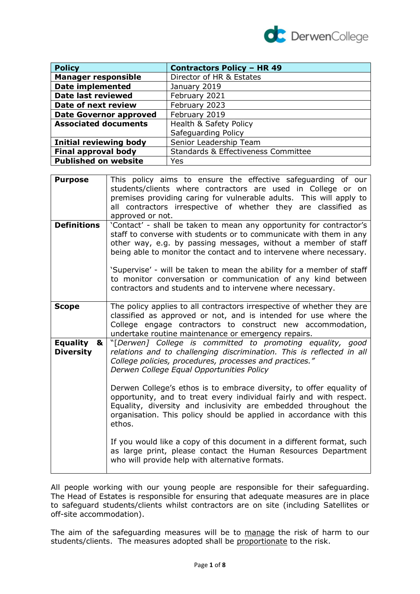

| <b>Policy</b>                                         | <b>Contractors Policy - HR 49</b>   |  |
|-------------------------------------------------------|-------------------------------------|--|
| <b>Manager responsible</b>                            | Director of HR & Estates            |  |
| <b>Date implemented</b>                               | January 2019                        |  |
| <b>Date last reviewed</b>                             | February 2021                       |  |
| Date of next review                                   | February 2023                       |  |
| <b>Date Governor approved</b>                         | February 2019                       |  |
| Health & Safety Policy<br><b>Associated documents</b> |                                     |  |
|                                                       | Safeguarding Policy                 |  |
| <b>Initial reviewing body</b>                         | Senior Leadership Team              |  |
| <b>Final approval body</b>                            | Standards & Effectiveness Committee |  |
| <b>Published on website</b>                           | Yes                                 |  |

| <b>Purpose</b>                           | This policy aims to ensure the effective safeguarding of our<br>students/clients where contractors are used in College or on<br>premises providing caring for vulnerable adults. This will apply to<br>all contractors irrespective of whether they are classified as<br>approved or not.                                                                                                                                                                                                                                                      |
|------------------------------------------|------------------------------------------------------------------------------------------------------------------------------------------------------------------------------------------------------------------------------------------------------------------------------------------------------------------------------------------------------------------------------------------------------------------------------------------------------------------------------------------------------------------------------------------------|
| <b>Definitions</b>                       | 'Contact' - shall be taken to mean any opportunity for contractor's<br>staff to converse with students or to communicate with them in any<br>other way, e.g. by passing messages, without a member of staff<br>being able to monitor the contact and to intervene where necessary.<br>'Supervise' - will be taken to mean the ability for a member of staff<br>to monitor conversation or communication of any kind between<br>contractors and students and to intervene where necessary.                                                      |
| <b>Scope</b>                             | The policy applies to all contractors irrespective of whether they are<br>classified as approved or not, and is intended for use where the<br>College engage contractors to construct new accommodation,<br>undertake routine maintenance or emergency repairs.                                                                                                                                                                                                                                                                                |
| <b>Equality</b><br>&<br><b>Diversity</b> | "[Derwen] College is committed to promoting equality, good<br>relations and to challenging discrimination. This is reflected in all<br>College policies, procedures, processes and practices."<br>Derwen College Equal Opportunities Policy<br>Derwen College's ethos is to embrace diversity, to offer equality of<br>opportunity, and to treat every individual fairly and with respect.<br>Equality, diversity and inclusivity are embedded throughout the<br>organisation. This policy should be applied in accordance with this<br>ethos. |
|                                          | If you would like a copy of this document in a different format, such<br>as large print, please contact the Human Resources Department<br>who will provide help with alternative formats.                                                                                                                                                                                                                                                                                                                                                      |

All people working with our young people are responsible for their safeguarding. The Head of Estates is responsible for ensuring that adequate measures are in place to safeguard students/clients whilst contractors are on site (including Satellites or off-site accommodation).

The aim of the safeguarding measures will be to manage the risk of harm to our students/clients. The measures adopted shall be proportionate to the risk.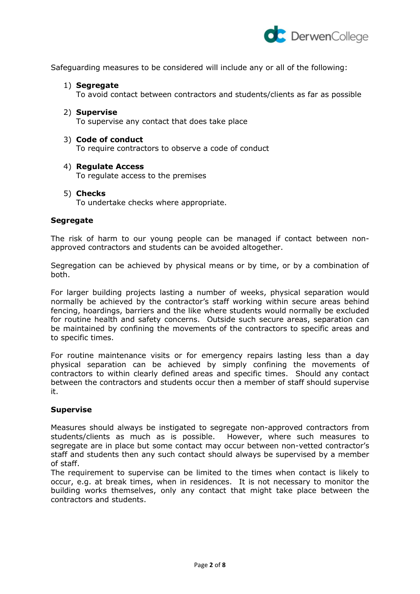

Safeguarding measures to be considered will include any or all of the following:

1) **Segregate**

To avoid contact between contractors and students/clients as far as possible

- 2) **Supervise** To supervise any contact that does take place
- 3) **Code of conduct**

To require contractors to observe a code of conduct

- 4) **Regulate Access** To regulate access to the premises
- 5) **Checks**

To undertake checks where appropriate.

## **Segregate**

The risk of harm to our young people can be managed if contact between nonapproved contractors and students can be avoided altogether.

Segregation can be achieved by physical means or by time, or by a combination of both.

For larger building projects lasting a number of weeks, physical separation would normally be achieved by the contractor's staff working within secure areas behind fencing, hoardings, barriers and the like where students would normally be excluded for routine health and safety concerns. Outside such secure areas, separation can be maintained by confining the movements of the contractors to specific areas and to specific times.

For routine maintenance visits or for emergency repairs lasting less than a day physical separation can be achieved by simply confining the movements of contractors to within clearly defined areas and specific times. Should any contact between the contractors and students occur then a member of staff should supervise it.

#### **Supervise**

Measures should always be instigated to segregate non-approved contractors from students/clients as much as is possible. However, where such measures to segregate are in place but some contact may occur between non-vetted contractor's staff and students then any such contact should always be supervised by a member of staff.

The requirement to supervise can be limited to the times when contact is likely to occur, e.g. at break times, when in residences. It is not necessary to monitor the building works themselves, only any contact that might take place between the contractors and students.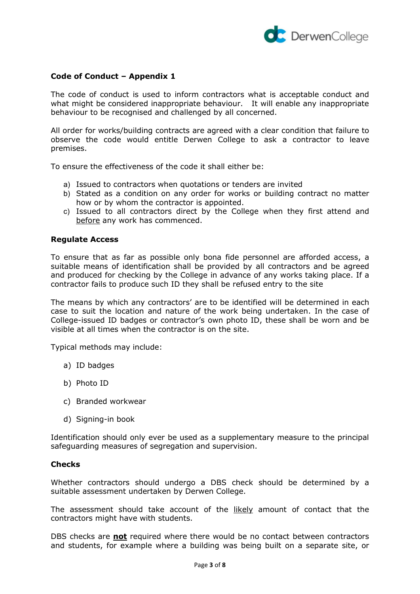

## **Code of Conduct – Appendix 1**

The code of conduct is used to inform contractors what is acceptable conduct and what might be considered inappropriate behaviour. It will enable any inappropriate behaviour to be recognised and challenged by all concerned.

All order for works/building contracts are agreed with a clear condition that failure to observe the code would entitle Derwen College to ask a contractor to leave premises.

To ensure the effectiveness of the code it shall either be:

- a) Issued to contractors when quotations or tenders are invited
- b) Stated as a condition on any order for works or building contract no matter how or by whom the contractor is appointed.
- c) Issued to all contractors direct by the College when they first attend and before any work has commenced.

## **Regulate Access**

To ensure that as far as possible only bona fide personnel are afforded access, a suitable means of identification shall be provided by all contractors and be agreed and produced for checking by the College in advance of any works taking place. If a contractor fails to produce such ID they shall be refused entry to the site

The means by which any contractors' are to be identified will be determined in each case to suit the location and nature of the work being undertaken. In the case of College-issued ID badges or contractor's own photo ID, these shall be worn and be visible at all times when the contractor is on the site.

Typical methods may include:

- a) ID badges
- b) Photo ID
- c) Branded workwear
- d) Signing-in book

Identification should only ever be used as a supplementary measure to the principal safeguarding measures of segregation and supervision.

#### **Checks**

Whether contractors should undergo a DBS check should be determined by a suitable assessment undertaken by Derwen College.

The assessment should take account of the likely amount of contact that the contractors might have with students.

DBS checks are **not** required where there would be no contact between contractors and students, for example where a building was being built on a separate site, or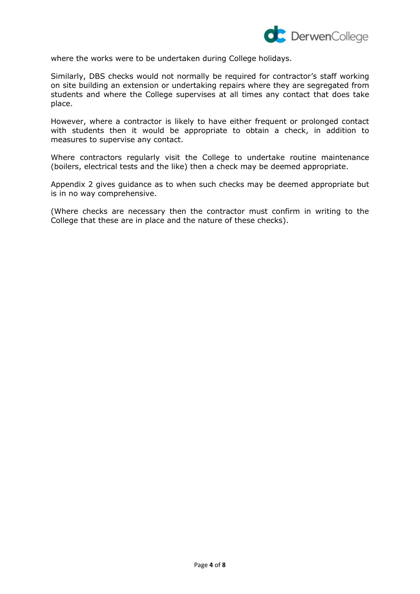

where the works were to be undertaken during College holidays.

Similarly, DBS checks would not normally be required for contractor's staff working on site building an extension or undertaking repairs where they are segregated from students and where the College supervises at all times any contact that does take place.

However, where a contractor is likely to have either frequent or prolonged contact with students then it would be appropriate to obtain a check, in addition to measures to supervise any contact.

Where contractors regularly visit the College to undertake routine maintenance (boilers, electrical tests and the like) then a check may be deemed appropriate.

Appendix 2 gives guidance as to when such checks may be deemed appropriate but is in no way comprehensive.

(Where checks are necessary then the contractor must confirm in writing to the College that these are in place and the nature of these checks).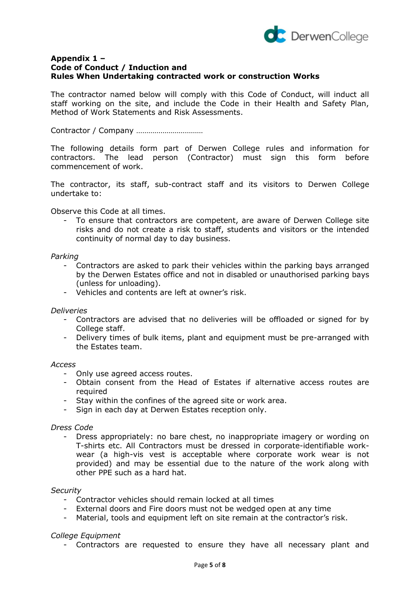

## **Appendix 1 – Code of Conduct / Induction and Rules When Undertaking contracted work or construction Works**

The contractor named below will comply with this Code of Conduct, will induct all staff working on the site, and include the Code in their Health and Safety Plan, Method of Work Statements and Risk Assessments.

Contractor / Company ……………………………

The following details form part of Derwen College rules and information for contractors. The lead person (Contractor) must sign this form before commencement of work.

The contractor, its staff, sub-contract staff and its visitors to Derwen College undertake to:

Observe this Code at all times.

To ensure that contractors are competent, are aware of Derwen College site risks and do not create a risk to staff, students and visitors or the intended continuity of normal day to day business.

#### *Parking*

- Contractors are asked to park their vehicles within the parking bays arranged by the Derwen Estates office and not in disabled or unauthorised parking bays (unless for unloading).
- Vehicles and contents are left at owner's risk.

#### *Deliveries*

- Contractors are advised that no deliveries will be offloaded or signed for by College staff.
- Delivery times of bulk items, plant and equipment must be pre-arranged with the Estates team.

#### *Access*

- Only use agreed access routes.
- Obtain consent from the Head of Estates if alternative access routes are required
- Stay within the confines of the agreed site or work area.
- Sign in each day at Derwen Estates reception only.

#### *Dress Code*

- Dress appropriately: no bare chest, no inappropriate imagery or wording on T-shirts etc. All Contractors must be dressed in corporate-identifiable workwear (a high-vis vest is acceptable where corporate work wear is not provided) and may be essential due to the nature of the work along with other PPE such as a hard hat.

#### *Security*

- Contractor vehicles should remain locked at all times
- External doors and Fire doors must not be wedged open at any time
- Material, tools and equipment left on site remain at the contractor's risk.

#### *College Equipment*

- Contractors are requested to ensure they have all necessary plant and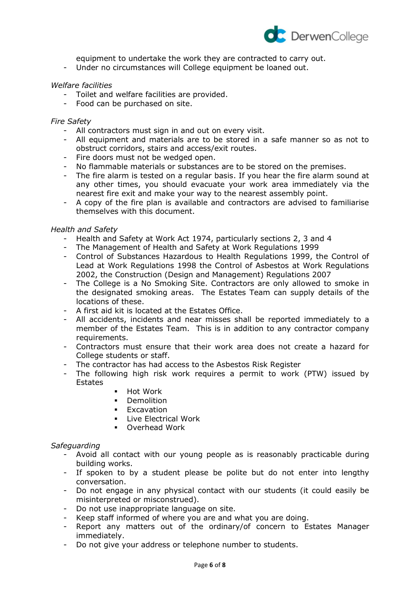

equipment to undertake the work they are contracted to carry out.

- Under no circumstances will College equipment be loaned out.

## *Welfare facilities*

- Toilet and welfare facilities are provided.
- Food can be purchased on site.

#### *Fire Safety*

- All contractors must sign in and out on every visit.
- All equipment and materials are to be stored in a safe manner so as not to obstruct corridors, stairs and access/exit routes.
- Fire doors must not be wedged open.
- No flammable materials or substances are to be stored on the premises.
- The fire alarm is tested on a regular basis. If you hear the fire alarm sound at any other times, you should evacuate your work area immediately via the nearest fire exit and make your way to the nearest assembly point.
- A copy of the fire plan is available and contractors are advised to familiarise themselves with this document.

## *Health and Safety*

- Health and Safety at Work Act 1974, particularly sections 2, 3 and 4
- The Management of Health and Safety at Work Regulations 1999
- Control of Substances Hazardous to Health Regulations 1999, the Control of Lead at Work Regulations 1998 the Control of Asbestos at Work Regulations 2002, the Construction (Design and Management) Regulations 2007
- The College is a No Smoking Site. Contractors are only allowed to smoke in the designated smoking areas. The Estates Team can supply details of the locations of these.
- A first aid kit is located at the Estates Office.
- All accidents, incidents and near misses shall be reported immediately to a member of the Estates Team. This is in addition to any contractor company requirements.
- Contractors must ensure that their work area does not create a hazard for College students or staff.
- The contractor has had access to the Asbestos Risk Register
- The following high risk work requires a permit to work (PTW) issued by Estates
	- Hot Work
	- Demolition
	- Excavation
	- **EXECUTE:** Live Electrical Work
	- Overhead Work

#### *Safeguarding*

- Avoid all contact with our young people as is reasonably practicable during building works.
- If spoken to by a student please be polite but do not enter into lengthy conversation.
- Do not engage in any physical contact with our students (it could easily be misinterpreted or misconstrued).
- Do not use inappropriate language on site.
- Keep staff informed of where you are and what you are doing.
- Report any matters out of the ordinary/of concern to Estates Manager immediately.
- Do not give your address or telephone number to students.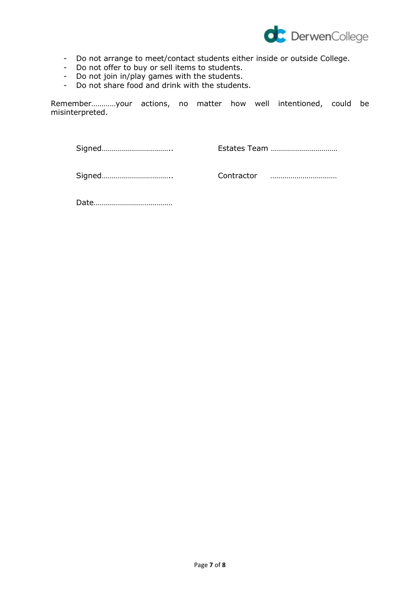

- Do not arrange to meet/contact students either inside or outside College.
- Do not offer to buy or sell items to students.
- Do not join in/play games with the students.
- Do not share food and drink with the students.

Remember…………your actions, no matter how well intentioned, could be misinterpreted.

Signed…………………………….. Estates Team ……………………………

Signed…………………………….. Contractor ……………………………

Date…………………………………